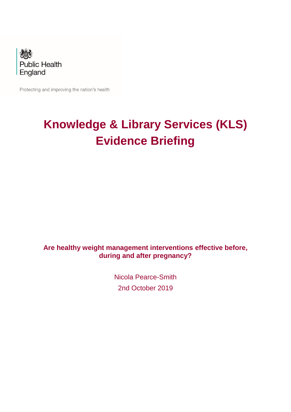

Protecting and improving the nation's health

# **Knowledge & Library Services (KLS) Evidence Briefing**

# **Are healthy weight management interventions effective before, during and after pregnancy?**

Nicola Pearce-Smith 2nd October 2019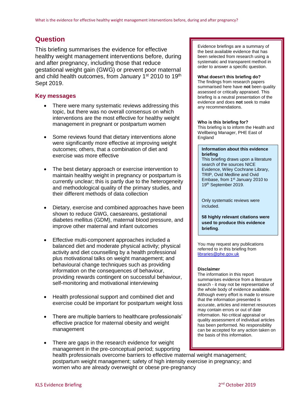# **Question**

This briefing summarises the evidence for effective healthy weight management interventions before, during and after pregnancy, including those that reduce gestational weight gain (GWG) or prevent poor maternal and child health outcomes, from January 1<sup>st</sup> 2010 to 19<sup>th</sup> Sept 2019.

## **Key messages**

- There were many systematic reviews addressing this topic, but there was no overall consensus on which interventions are the most effective for healthy weight management in pregnant or postpartum women
- Some reviews found that dietary interventions alone were significantly more effective at improving weight outcomes; others, that a combination of diet and exercise was more effective
- The best dietary approach or exercise intervention to maintain healthy weight in pregnancy or postpartum is currently unclear; this is partly due to the heterogeneity and methodological quality of the primary studies, and their different methods of data collection
- Dietary, exercise and combined approaches have been shown to reduce GWG, caesareans, gestational diabetes mellitus (GDM), maternal blood pressure, and improve other maternal and infant outcomes
- Effective multi-component approaches included a balanced diet and moderate physical activity; physical activity and diet counselling by a health professional plus motivational talks on weight management; and behavioural change techniques such as providing information on the consequences of behaviour, providing rewards contingent on successful behaviour, self-monitoring and motivational interviewing
- Health professional support and combined diet and exercise could be important for postpartum weight loss
- There are multiple barriers to healthcare professionals' effective practice for maternal obesity and weight management

Evidence briefings are a summary of the best available evidence that has been selected from research using a systematic and transparent method in order to answer a specific question.

#### **What doesn't this briefing do?**

The findings from research papers summarised here have **not** been quality assessed or critically appraised. This briefing is a neutral presentation of the evidence and does **not** seek to make any recommendations.

#### **Who is this briefing for?**

This briefing is to inform the Health and Wellbeing Manager, PHE East of **England** 

#### **Information about this evidence briefing**

This briefing draws upon a literature search of the sources NICE Evidence, Wiley Cochrane Library, TRIP, Ovid Medline and Ovid Embase, from 1st January 2010 to 19th September 2019.

Only systematic reviews were included.

**58 highly relevant citations were used to produce this evidence briefing**.

You may request any publications referred to in this briefing from [libraries@phe.gov.uk](mailto:libraries@phe.gov.uk)

#### **Disclaimer**

The information in this report summarises evidence from a literature search - it may not be representative of the whole body of evidence available. Although every effort is made to ensure that the information presented is accurate, articles and internet resources may contain errors or out of date information. No critical appraisal or quality assessment of individual articles has been performed. No responsibility can be accepted for any action taken on the basis of this information.

• There are gaps in the research evidence for weight management in the pre-conceptual period; supporting health professionals overcome barriers to effective maternal weight management; postpartum weight management; safety of high intensity exercise in pregnancy; and women who are already overweight or obese pre-pregnancy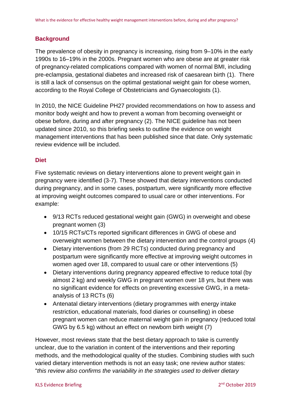## **Background**

The prevalence of obesity in pregnancy is increasing, rising from 9–10% in the early 1990s to 16–19% in the 2000s. Pregnant women who are obese are at greater risk of pregnancy-related complications compared with women of normal BMI, including pre-eclampsia, gestational diabetes and increased risk of caesarean birth [\(1\)](#page-11-0). There is still a lack of consensus on the optimal gestational weight gain for obese women, according to the Royal College of Obstetricians and Gynaecologists [\(1\)](#page-11-0).

In 2010, the NICE Guideline PH27 provided recommendations on how to assess and monitor body weight and how to prevent a woman from becoming overweight or obese before, during and after pregnancy [\(2\)](#page-11-1). The NICE guideline has not been updated since 2010, so this briefing seeks to outline the evidence on weight management interventions that has been published since that date. Only systematic review evidence will be included.

## **Diet**

Five systematic reviews on dietary interventions alone to prevent weight gain in pregnancy were identified [\(3-7\)](#page-11-2). These showed that dietary interventions conducted during pregnancy, and in some cases, postpartum, were significantly more effective at improving weight outcomes compared to usual care or other interventions. For example:

- 9/13 RCTs reduced gestational weight gain (GWG) in overweight and obese pregnant women [\(3\)](#page-11-2)
- 10/15 RCTs/CTs reported significant differences in GWG of obese and overweight women between the dietary intervention and the control groups [\(4\)](#page-11-3)
- Dietary interventions (from 29 RCTs) conducted during pregnancy and postpartum were significantly more effective at improving weight outcomes in women aged over 18, compared to usual care or other interventions [\(5\)](#page-11-4)
- Dietary interventions during pregnancy appeared effective to reduce total (by almost 2 kg) and weekly GWG in pregnant women over 18 yrs, but there was no significant evidence for effects on preventing excessive GWG, in a metaanalysis of 13 RCTs [\(6\)](#page-11-5)
- Antenatal dietary interventions (dietary programmes with energy intake restriction, educational materials, food diaries or counselling) in obese pregnant women can reduce maternal weight gain in pregnancy (reduced total GWG by 6.5 kg) without an effect on newborn birth weight [\(7\)](#page-11-6)

However, most reviews state that the best dietary approach to take is currently unclear, due to the variation in content of the interventions and their reporting methods, and the methodological quality of the studies. Combining studies with such varied dietary intervention methods is not an easy task; one review author states: "*this review also confirms the variability in the strategies used to deliver dietary*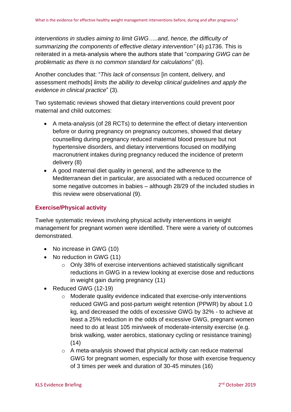*interventions in studies aiming to limit GWG…..and, hence, the difficulty of summarizing the components of effective dietary intervention"* [\(4\)](#page-11-3) p1736. This is reiterated in a meta-analysis where the authors state that "*comparing GWG can be problematic as there is no common standard for calculations*" [\(6\)](#page-11-5).

Another concludes that: "*This lack of consensus* [in content, delivery, and assessment methods] *limits the ability to develop clinical guidelines and apply the evidence in clinical practice*" [\(3\)](#page-11-2).

Two systematic reviews showed that dietary interventions could prevent poor maternal and child outcomes:

- A meta-analysis (of 28 RCTs) to determine the effect of dietary intervention before or during pregnancy on pregnancy outcomes, showed that dietary counselling during pregnancy reduced maternal blood pressure but not hypertensive disorders, and dietary interventions focused on modifying macronutrient intakes during pregnancy reduced the incidence of preterm delivery [\(8\)](#page-11-7)
- A good maternal diet quality in general, and the adherence to the Mediterranean diet in particular, are associated with a reduced occurrence of some negative outcomes in babies – although 28/29 of the included studies in this review were observational [\(9\)](#page-11-8).

#### **Exercise/Physical activity**

Twelve systematic reviews involving physical activity interventions in weight management for pregnant women were identified. There were a variety of outcomes demonstrated.

- No increase in GWG [\(10\)](#page-11-9)
- No reduction in GWG [\(11\)](#page-11-10)
	- o Only 38% of exercise interventions achieved statistically significant reductions in GWG in a review looking at exercise dose and reductions in weight gain during pregnancy [\(11\)](#page-11-10)
- Reduced GWG [\(12-19\)](#page-11-11)
	- o Moderate quality evidence indicated that exercise-only interventions reduced GWG and post-partum weight retention (PPWR) by about 1.0 kg, and decreased the odds of excessive GWG by 32% - to achieve at least a 25% reduction in the odds of excessive GWG, pregnant women need to do at least 105 min/week of moderate-intensity exercise (e.g. brisk walking, water aerobics, stationary cycling or resistance training)  $(14)$
	- o A meta-analysis showed that physical activity can reduce maternal GWG for pregnant women, especially for those with exercise frequency of 3 times per week and duration of 30-45 minutes [\(16\)](#page-12-1)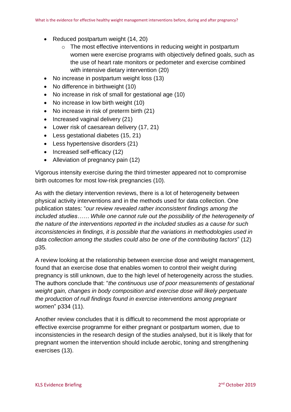- Reduced postpartum weight [\(14,](#page-12-0) [20\)](#page-12-2)
	- o The most effective interventions in reducing weight in postpartum women were exercise programs with objectively defined goals, such as the use of heart rate monitors or pedometer and exercise combined with intensive dietary intervention [\(20\)](#page-12-2)
- No increase in postpartum weight loss [\(13\)](#page-11-12)
- No difference in birthweight [\(10\)](#page-11-9)
- No increase in risk of small for gestational age [\(10\)](#page-11-9)
- No increase in low birth weight [\(10\)](#page-11-9)
- No increase in risk of preterm birth [\(21\)](#page-12-3)
- Increased vaginal delivery [\(21\)](#page-12-3)
- Lower risk of caesarean delivery [\(17,](#page-12-4) [21\)](#page-12-3)
- Less gestational diabetes [\(15,](#page-12-5) [21\)](#page-12-3)
- Less hypertensive disorders [\(21\)](#page-12-3)
- Increased self-efficacy [\(12\)](#page-11-11)
- Alleviation of pregnancy pain [\(12\)](#page-11-11)

Vigorous intensity exercise during the third trimester appeared not to compromise birth outcomes for most low-risk pregnancies [\(10\)](#page-11-9).

As with the dietary intervention reviews, there is a lot of heterogeneity between physical activity interventions and in the methods used for data collection. One publication states: "*our review revealed rather inconsistent findings among the included studies…… While one cannot rule out the possibility of the heterogeneity of the nature of the interventions reported in the included studies as a cause for such inconsistencies in findings, it is possible that the variations in methodologies used in data collection among the studies could also be one of the contributing factors*" [\(12\)](#page-11-11) p35.

A review looking at the relationship between exercise dose and weight management, found that an exercise dose that enables women to control their weight during pregnancy is still unknown, due to the high level of heterogeneity across the studies. The authors conclude that: "*the continuous use of poor measurements of gestational weight gain, changes in body composition and exercise dose will likely perpetuate the production of null findings found in exercise interventions among pregnant women*" p334 [\(11\)](#page-11-10).

Another review concludes that it is difficult to recommend the most appropriate or effective exercise programme for either pregnant or postpartum women, due to inconsistencies in the research design of the studies analysed, but it is likely that for pregnant women the intervention should include aerobic, toning and strengthening exercises [\(13\)](#page-11-12).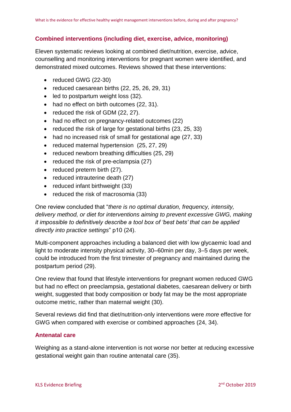# **Combined interventions (including diet, exercise, advice, monitoring)**

Eleven systematic reviews looking at combined diet/nutrition, exercise, advice, counselling and monitoring interventions for pregnant women were identified, and demonstrated mixed outcomes. Reviews showed that these interventions:

- reduced GWG [\(22-30\)](#page-12-6)
- reduced caesarean births [\(22,](#page-12-6) [25,](#page-12-7) [26,](#page-12-8) [29,](#page-13-0) [31\)](#page-13-1)
- led to postpartum weight loss [\(32\)](#page-13-2).
- had no effect on birth outcomes [\(22,](#page-12-6) [31\)](#page-13-1).
- reduced the risk of GDM [\(22,](#page-12-6) [27\)](#page-13-3).
- had no effect on pregnancy-related outcomes [\(22\)](#page-12-6)
- reduced the risk of large for gestational births [\(23,](#page-12-9) [25,](#page-12-7) [33\)](#page-13-4)
- had no increased risk of small for gestational age [\(27,](#page-13-3) [33\)](#page-13-4)
- reduced maternal hypertension [\(25,](#page-12-7) [27,](#page-13-3) [29\)](#page-13-0)
- reduced newborn breathing difficulties [\(25,](#page-12-7) [29\)](#page-13-0)
- reduced the risk of pre-eclampsia [\(27\)](#page-13-3)
- reduced preterm birth [\(27\)](#page-13-3).
- reduced intrauterine death [\(27\)](#page-13-3)
- reduced infant birthweight [\(33\)](#page-13-4)
- reduced the risk of macrosomia [\(33\)](#page-13-4)

One review concluded that "*there is no optimal duration, frequency, intensity, delivery method, or diet for interventions aiming to prevent excessive GWG, making it impossible to definitively describe a tool box of 'best bets' that can be applied directly into practice settings*" p10 [\(24\)](#page-12-10).

Multi-component approaches including a balanced diet with low glycaemic load and light to moderate intensity physical activity, 30–60min per day, 3–5 days per week, could be introduced from the first trimester of pregnancy and maintained during the postpartum period [\(29\)](#page-13-0).

One review that found that lifestyle interventions for pregnant women reduced GWG but had no effect on preeclampsia, gestational diabetes, caesarean delivery or birth weight, suggested that body composition or body fat may be the most appropriate outcome metric, rather than maternal weight [\(30\)](#page-13-5).

Several reviews did find that diet/nutrition-only interventions were *more* effective for GWG when compared with exercise or combined approaches [\(24,](#page-12-10) [34\)](#page-13-6).

#### **Antenatal care**

Weighing as a stand-alone intervention is not worse nor better at reducing excessive gestational weight gain than routine antenatal care [\(35\)](#page-13-7).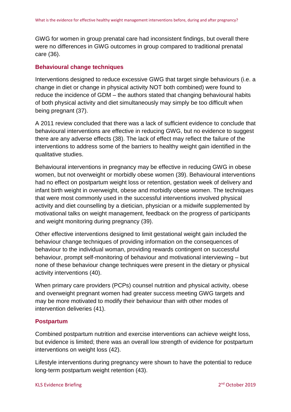GWG for women in group prenatal care had inconsistent findings, but overall there were no differences in GWG outcomes in group compared to traditional prenatal care [\(36\)](#page-13-8).

#### **Behavioural change techniques**

Interventions designed to reduce excessive GWG that target single behaviours (i.e. a change in diet or change in physical activity NOT both combined) were found to reduce the incidence of GDM – the authors stated that changing behavioural habits of both physical activity and diet simultaneously may simply be too difficult when being pregnant [\(37\)](#page-13-9).

A 2011 review concluded that there was a lack of sufficient evidence to conclude that behavioural interventions are effective in reducing GWG, but no evidence to suggest there are any adverse effects [\(38\)](#page-13-10). The lack of effect may reflect the failure of the interventions to address some of the barriers to healthy weight gain identified in the qualitative studies.

Behavioural interventions in pregnancy may be effective in reducing GWG in obese women, but not overweight or morbidly obese women [\(39\)](#page-14-0). Behavioural interventions had no effect on postpartum weight loss or retention, gestation week of delivery and infant birth weight in overweight, obese and morbidly obese women. The techniques that were most commonly used in the successful interventions involved physical activity and diet counselling by a dietician, physician or a midwife supplemented by motivational talks on weight management, feedback on the progress of participants and weight monitoring during pregnancy [\(39\)](#page-14-0).

Other effective interventions designed to limit gestational weight gain included the behaviour change techniques of providing information on the consequences of behaviour to the individual woman, providing rewards contingent on successful behaviour, prompt self-monitoring of behaviour and motivational interviewing – but none of these behaviour change techniques were present in the dietary or physical activity interventions [\(40\)](#page-14-1).

When primary care providers (PCPs) counsel nutrition and physical activity, obese and overweight pregnant women had greater success meeting GWG targets and may be more motivated to modify their behaviour than with other modes of intervention deliveries [\(41\)](#page-14-2).

#### **Postpartum**

Combined postpartum nutrition and exercise interventions can achieve weight loss, but evidence is limited; there was an overall low strength of evidence for postpartum interventions on weight loss [\(42\)](#page-14-3).

Lifestyle interventions during pregnancy were shown to have the potential to reduce long‐term postpartum weight retention [\(43\)](#page-14-4).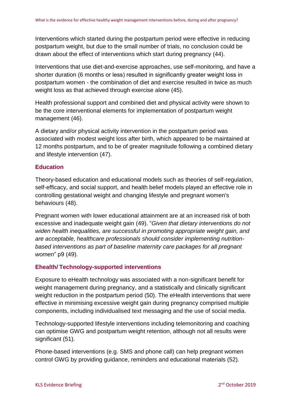Interventions which started during the postpartum period were effective in reducing postpartum weight, but due to the small number of trials, no conclusion could be drawn about the effect of interventions which start during pregnancy [\(44\)](#page-14-5).

Interventions that use diet-and-exercise approaches, use self-monitoring, and have a shorter duration (6 months or less) resulted in significantly greater weight loss in postpartum women - the combination of diet and exercise resulted in twice as much weight loss as that achieved through exercise alone [\(45\)](#page-14-6).

Health professional support and combined diet and physical activity were shown to be the core interventional elements for implementation of postpartum weight management [\(46\)](#page-14-7).

A dietary and/or physical activity intervention in the postpartum period was associated with modest weight loss after birth, which appeared to be maintained at 12 months postpartum, and to be of greater magnitude following a combined dietary and lifestyle intervention [\(47\)](#page-14-8).

#### **Education**

Theory-based education and educational models such as theories of self-regulation, self-efficacy, and social support, and health belief models played an effective role in controlling gestational weight and changing lifestyle and pregnant women's behaviours [\(48\)](#page-14-9).

Pregnant women with lower educational attainment are at an increased risk of both excessive and inadequate weight gain [\(49\)](#page-14-10). "*Given that dietary interventions do not widen health inequalities, are successful in promoting appropriate weight gain, and are acceptable, healthcare professionals should consider implementing nutritionbased interventions as part of baseline maternity care packages for all pregnant women*" p9 [\(49\)](#page-14-10).

#### **Ehealth/ Technology-supported interventions**

Exposure to eHealth technology was associated with a non-significant benefit for weight management during pregnancy, and a statistically and clinically significant weight reduction in the postpartum period [\(50\)](#page-14-11). The eHealth interventions that were effective in minimising excessive weight gain during pregnancy comprised multiple components, including individualised text messaging and the use of social media.

Technology-supported lifestyle interventions including telemonitoring and coaching can optimise GWG and postpartum weight retention, although not all results were significant [\(51\)](#page-15-0).

Phone-based interventions (e.g. SMS and phone call) can help pregnant women control GWG by providing guidance, reminders and educational materials [\(52\)](#page-15-1).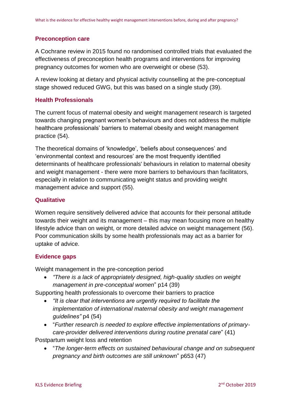#### **Preconception care**

A Cochrane review in 2015 found no randomised controlled trials that evaluated the effectiveness of preconception health programs and interventions for improving pregnancy outcomes for women who are overweight or obese [\(53\)](#page-15-2).

A review looking at dietary and physical activity counselling at the pre-conceptual stage showed reduced GWG, but this was based on a single study [\(39\)](#page-14-0).

### **Health Professionals**

The current focus of maternal obesity and weight management research is targeted towards changing pregnant women's behaviours and does not address the multiple healthcare professionals' barriers to maternal obesity and weight management practice [\(54\)](#page-15-3).

The theoretical domains of 'knowledge', 'beliefs about consequences' and 'environmental context and resources' are the most frequently identified determinants of healthcare professionals' behaviours in relation to maternal obesity and weight management - there were more barriers to behaviours than facilitators, especially in relation to communicating weight status and providing weight management advice and support [\(55\)](#page-15-4).

#### **Qualitative**

Women require sensitively delivered advice that accounts for their personal attitude towards their weight and its management – this may mean focusing more on healthy lifestyle advice than on weight, or more detailed advice on weight management [\(56\)](#page-15-5). Poor communication skills by some health professionals may act as a barrier for uptake of advice.

#### **Evidence gaps**

Weight management in the pre-conception period

• *"There is a lack of appropriately designed, high-quality studies on weight management in pre-conceptual women*" p14 [\(39\)](#page-14-0)

Supporting health professionals to overcome their barriers to practice

- *"It is clear that interventions are urgently required to facilitate the implementation of international maternal obesity and weight management guidelines"* p4 [\(54\)](#page-15-3)
- "*Further research is needed to explore effective implementations of primarycare-provider delivered interventions during routine prenatal care*" [\(41\)](#page-14-2)

Postpartum weight loss and retention

• "*The longer-term effects on sustained behavioural change and on subsequent pregnancy and birth outcomes are still unknown*" p653 [\(47\)](#page-14-8)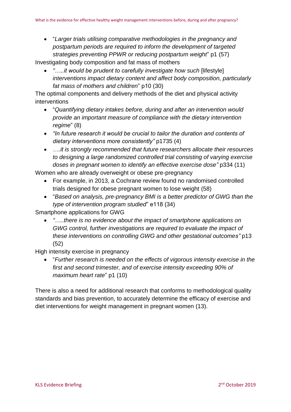• "*Larger trials utilising comparative methodologies in the pregnancy and postpartum periods are required to inform the development of targeted strategies preventing PPWR or reducing postpartum weight*" p1 [\(57\)](#page-15-6)

Investigating body composition and fat mass of mothers

• *"....it would be prudent to carefully investigate how such* [lifestyle] *interventions impact dietary content and affect body composition, particularly fat mass of mothers and children*" p10 [\(30\)](#page-13-5)

The optimal components and delivery methods of the diet and physical activity interventions

- "*Quantifying dietary intakes before, during and after an intervention would provide an important measure of compliance with the dietary intervention regime*" [\(8\)](#page-11-7)
- *"In future research it would be crucial to tailor the duration and contents of dietary interventions more consistently"* p1735 [\(4\)](#page-11-3)
- *….it is strongly recommended that future researchers allocate their resources to designing a large randomized controlled trial consisting of varying exercise doses in pregnant women to identify an effective exercise dose"* p334 [\(11\)](#page-11-10)

Women who are already overweight or obese pre-pregnancy

- For example, in 2013, a Cochrane review found no randomised controlled trials designed for obese pregnant women to lose weight [\(58\)](#page-15-7)
- "*Based on analysis, pre-pregnancy BMI is a better predictor of GWG than the type of intervention program studied*" e118 [\(34\)](#page-13-6)

Smartphone applications for GWG

• *"…..there is no evidence about the impact of smartphone applications on GWG control, further investigations are required to evaluate the impact of these interventions on controlling GWG and other gestational outcomes"* p13 [\(52\)](#page-15-1)

High intensity exercise in pregnancy

• "*Further research is needed on the effects of vigorous intensity exercise in the first and second trimester, and of exercise intensity exceeding 90% of maximum heart rate*" p1 [\(10\)](#page-11-9)

There is also a need for additional research that conforms to methodological quality standards and bias prevention, to accurately determine the efficacy of exercise and diet interventions for weight management in pregnant women [\(13\)](#page-11-12).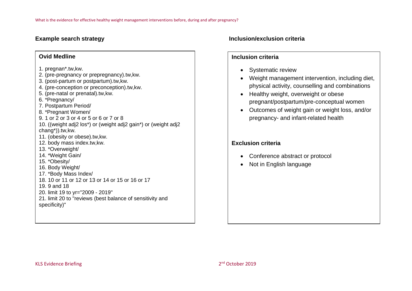#### **Ovid Medline**

#### 1. pregnan\*.tw,kw.

- 2. (pre-pregnancy or prepregnancy).tw,kw.
- 3. (post-partum or postpartum).tw,kw.
- 4. (pre-conception or preconception).tw,kw.
- 5. (pre-natal or prenatal).tw,kw.
- 6. \*Pregnancy/
- 7. Postpartum Period/
- 8. \*Pregnant Women/
- 9. 1 or 2 or 3 or 4 or 5 or 6 or 7 or 8
- 10. ((weight adj2 los\*) or (weight adj2 gain\*) or (weight adj2 chang\*)).tw,kw.
- 11. (obesity or obese).tw,kw.
- 12. body mass index.tw,kw.
- 13. \*Overweight/
- 14. \*Weight Gain/
- 15. \*Obesity/
- 16. Body Weight/
- 17. \*Body Mass Index/
- 18. 10 or 11 or 12 or 13 or 14 or 15 or 16 or 17
- 19. 9 and 18
- 20. limit 19 to yr="2009 2019"
- 21. limit 20 to "reviews (best balance of sensitivity and specificity)"

### **Example search strategy Inclusion/exclusion criteria**

#### **Inclusion criteria**

- Systematic review
- Weight management intervention, including diet, physical activity, counselling and combinations
- Healthy weight, overweight or obese pregnant/postpartum/pre-conceptual women
- Outcomes of weight gain or weight loss, and/or pregnancy- and infant-related health

# **Exclusion criteria**

- Conference abstract or protocol
- Not in English language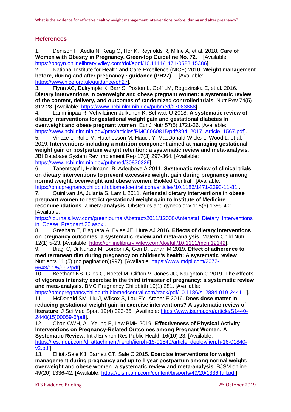## **References**

<span id="page-11-0"></span>1. Denison F, Aedla N, Keag O, Hor K, Reynolds R, Milne A, et al. 2018. **Care of Women with Obesity in Pregnancy. Green-top Guideline No. 72.** [Available: [https://obgyn.onlinelibrary.wiley.com/doi/epdf/10.1111/1471-0528.15386\]](https://obgyn.onlinelibrary.wiley.com/doi/epdf/10.1111/1471-0528.15386).

<span id="page-11-1"></span>2. National Institute for Health and Care Excellence (NICE) 2010. **Weight management before, during and after pregnancy : guidance (PH27)**. [Available: [https://www.nice.org.uk/guidance/ph27\]](https://www.nice.org.uk/guidance/ph27).

<span id="page-11-2"></span>3. Flynn AC, Dalrymple K, Barr S, Poston L, Goff LM, Rogozinska E, et al. 2016. **Dietary interventions in overweight and obese pregnant women: a systematic review of the content, delivery, and outcomes of randomized controlled trials**. Nutr Rev 74(5) 312-28. [Available: [https://www.ncbi.nlm.nih.gov/pubmed/27083868\]](https://www.ncbi.nlm.nih.gov/pubmed/27083868).

<span id="page-11-3"></span>4. Lamminpaa R, Vehvilainen-Julkunen K, Schwab U 2018. **A systematic review of dietary interventions for gestational weight gain and gestational diabetes in overweight and obese pregnant women**. Eur J Nutr 57(5) 1721-36. [Available: [https://www.ncbi.nlm.nih.gov/pmc/articles/PMC6060815/pdf/394\\_2017\\_Article\\_1567.pdf\]](https://www.ncbi.nlm.nih.gov/pmc/articles/PMC6060815/pdf/394_2017_Article_1567.pdf).

<span id="page-11-4"></span>5. Vincze L, Rollo M, Hutchesson M, Hauck Y, MacDonald-Wicks L, Wood L, et al. 2019. **Interventions including a nutrition component aimed at managing gestational weight gain or postpartum weight retention: a systematic review and meta-analysis**. JBI Database System Rev Implement Rep 17(3) 297-364. [Available:

[https://www.ncbi.nlm.nih.gov/pubmed/30870329\]](https://www.ncbi.nlm.nih.gov/pubmed/30870329).

<span id="page-11-5"></span>6. Tanentsapf I, Heitmann B, Adegboye A 2011. **Systematic review of clinical trials on dietary interventions to prevent excessive weight gain during pregnancy among normal weight, overweight and obese women**. BioMed Central [Available:

[https://bmcpregnancychildbirth.biomedcentral.com/articles/10.1186/1471-2393-11-81\]](https://bmcpregnancychildbirth.biomedcentral.com/articles/10.1186/1471-2393-11-81).

<span id="page-11-6"></span>7. Quinlivan JA, Julania S, Lam L 2011. **Antenatal dietary interventions in obese pregnant women to restrict gestational weight gain to Institute of Medicine recommendations: a meta-analysis**. Obstetrics and gynecology 118(6) 1395-401. [Available:

[https://journals.lww.com/greenjournal/Abstract/2011/12000/Antenatal\\_Dietary\\_Interventions\\_](https://journals.lww.com/greenjournal/Abstract/2011/12000/Antenatal_Dietary_Interventions_in_Obese_Pregnant.26.aspx) in Obese Pregnant.26.aspxl.

<span id="page-11-7"></span>8. Gresham E, Bisquera A, Byles JE, Hure AJ 2016. **Effects of dietary interventions on pregnancy outcomes: a systematic review and meta-analysis**. Matern Child Nutr 12(1) 5-23. [Available: [https://onlinelibrary.wiley.com/doi/full/10.1111/mcn.12142\]](https://onlinelibrary.wiley.com/doi/full/10.1111/mcn.12142).

<span id="page-11-8"></span>9. Biagi C, Di Nunzio M, Bordoni A, Gori D, Lanari M 2019. **Effect of adherence to mediterranean diet during pregnancy on children's health: A systematic review**. Nutrients 11 (5) (no pagination)(997) [Available: [https://www.mdpi.com/2072-](https://www.mdpi.com/2072-6643/11/5/997/pdf) [6643/11/5/997/pdf\]](https://www.mdpi.com/2072-6643/11/5/997/pdf).

<span id="page-11-9"></span>10. Beetham KS, Giles C, Noetel M, Clifton V, Jones JC, Naughton G 2019. **The effects of vigorous intensity exercise in the third trimester of pregnancy: a systematic review and meta-analysis**. BMC Pregnancy Childbirth 19(1) 281. [Available:

[https://bmcpregnancychildbirth.biomedcentral.com/track/pdf/10.1186/s12884-019-2441-1\]](https://bmcpregnancychildbirth.biomedcentral.com/track/pdf/10.1186/s12884-019-2441-1). 11. McDonald SM, Liu J, Wilcox S, Lau EY, Archer E 2016. **Does dose matter in** 

<span id="page-11-10"></span>**reducing gestational weight gain in exercise interventions? A systematic review of literature**. J Sci Med Sport 19(4) 323-35. [Available: [https://www.jsams.org/article/S1440-](https://www.jsams.org/article/S1440-2440(15)00059-6/pdf) [2440\(15\)00059-6/pdf\]](https://www.jsams.org/article/S1440-2440(15)00059-6/pdf).

<span id="page-11-11"></span>12. Chan CWH, Au Yeung E, Law BMH 2019. **Effectiveness of Physical Activity Interventions on Pregnancy-Related Outcomes among Pregnant Women: A Systematic Review.** Int J Environ Res Public Health 16(10) 23. [Available: [https://res.mdpi.com/d\\_attachment/ijerph/ijerph-16-01840/article\\_deploy/ijerph-16-01840](https://res.mdpi.com/d_attachment/ijerph/ijerph-16-01840/article_deploy/ijerph-16-01840-v2.pdf) [v2.pdf\]](https://res.mdpi.com/d_attachment/ijerph/ijerph-16-01840/article_deploy/ijerph-16-01840-v2.pdf).

<span id="page-11-12"></span>13. Elliott-Sale KJ, Barnett CT, Sale C 2015. **Exercise interventions for weight management during pregnancy and up to 1 year postpartum among normal weight, overweight and obese women: a systematic review and meta-analysis**. BJSM online 49(20) 1336-42. [Available: [https://bjsm.bmj.com/content/bjsports/49/20/1336.full.pdf\]](https://bjsm.bmj.com/content/bjsports/49/20/1336.full.pdf).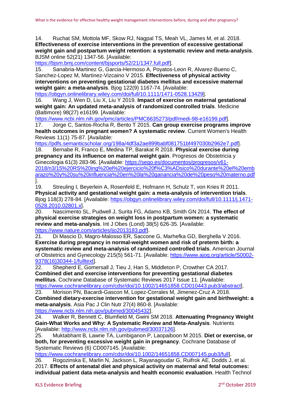<span id="page-12-0"></span>14. Ruchat SM, Mottola MF, Skow RJ, Nagpal TS, Meah VL, James M, et al. 2018. **Effectiveness of exercise interventions in the prevention of excessive gestational weight gain and postpartum weight retention: a systematic review and meta-analysis**. BJSM online 52(21) 1347-56. [Available:

[https://bjsm.bmj.com/content/bjsports/52/21/1347.full.pdf\]](https://bjsm.bmj.com/content/bjsports/52/21/1347.full.pdf).

<span id="page-12-5"></span>15. Sanabria-Martinez G, Garcia-Hermoso A, Poyatos-Leon R, Alvarez-Bueno C, Sanchez-Lopez M, Martinez-Vizcaino V 2015. **Effectiveness of physical activity interventions on preventing gestational diabetes mellitus and excessive maternal weight gain: a meta-analysis**. Bjog 122(9) 1167-74. [Available:

[https://obgyn.onlinelibrary.wiley.com/doi/full/10.1111/1471-0528.13429\]](https://obgyn.onlinelibrary.wiley.com/doi/full/10.1111/1471-0528.13429).

<span id="page-12-1"></span>16. Wang J, Wen D, Liu X, Liu Y 2019. **Impact of exercise on maternal gestational weight gain: An updated meta-analysis of randomized controlled trials**. Medicine (Baltimore) 98(27) e16199. [Available:

[https://www.ncbi.nlm.nih.gov/pmc/articles/PMC6635273/pdf/medi-98-e16199.pdf\]](https://www.ncbi.nlm.nih.gov/pmc/articles/PMC6635273/pdf/medi-98-e16199.pdf).

<span id="page-12-4"></span>17. Jorge C, Santos-Rocha R, Bento T 2015. **Can group exercise programs improve health outcomes in pregnant women? A systematic review**. Current Women's Health Reviews 11(1) 75-87. [Available:

[https://pdfs.semanticscholar.org/198a/4df3a2ae899babf081751bf497030b2962e7.pdf\]](https://pdfs.semanticscholar.org/198a/4df3a2ae899babf081751bf497030b2962e7.pdf).

18. Bernabe R, Franco E, Medina TP, Barakat R 2018. **Physical exercise during pregnancy and its influence on maternal weight gain**. Progresos de Obstetricia y Ginecologia 61(3) 283-96. [Available: [https://sego.es/documentos/progresos/v61-](https://sego.es/documentos/progresos/v61-2018/n3/15%20RS%20ing%20el%20ejercicio%20f%C3%ADsico%20durante%20el%20embarazo%20y%20su%20influencia%20en%20la%20ganancia%20de%20peso%20materno.pdf) [2018/n3/15%20RS%20ing%20el%20ejercicio%20f%C3%ADsico%20durante%20el%20emb](https://sego.es/documentos/progresos/v61-2018/n3/15%20RS%20ing%20el%20ejercicio%20f%C3%ADsico%20durante%20el%20embarazo%20y%20su%20influencia%20en%20la%20ganancia%20de%20peso%20materno.pdf) [arazo%20y%20su%20influencia%20en%20la%20ganancia%20de%20peso%20materno.pdf](https://sego.es/documentos/progresos/v61-2018/n3/15%20RS%20ing%20el%20ejercicio%20f%C3%ADsico%20durante%20el%20embarazo%20y%20su%20influencia%20en%20la%20ganancia%20de%20peso%20materno.pdf) ].

19. Streuling I, Beyerlein A, Rosenfeld E, Hofmann H, Schulz T, von Kries R 2011. **Physical activity and gestational weight gain: a meta-analysis of intervention trials**. Bjog 118(3) 278-84. [Available: [https://obgyn.onlinelibrary.wiley.com/doi/full/10.1111/j.1471-](https://obgyn.onlinelibrary.wiley.com/doi/full/10.1111/j.1471-0528.2010.02801.x) [0528.2010.02801.x\]](https://obgyn.onlinelibrary.wiley.com/doi/full/10.1111/j.1471-0528.2010.02801.x).

<span id="page-12-2"></span>20. Nascimento SL, Pudwell J, Surita FG, Adamo KB, Smith GN 2014. **The effect of physical exercise strategies on weight loss in postpartum women: a systematic review and meta-analysis**. Int J Obes (Lond) 38(5) 626-35. [Available: [https://www.nature.com/articles/ijo2013183.pdf\]](https://www.nature.com/articles/ijo2013183.pdf).

<span id="page-12-3"></span>21. Di Mascio D, Magro-Malosso ER, Saccone G, Marhefka GD, Berghella V 2016. **Exercise during pregnancy in normal-weight women and risk of preterm birth: a systematic review and meta-analysis of randomized controlled trials**. American Journal of Obstetrics and Gynecology 215(5) 561-71. [Available: [https://www.ajog.org/article/S0002-](https://www.ajog.org/article/S0002-9378(16)30344-1/fulltext) [9378\(16\)30344-1/fulltext\]](https://www.ajog.org/article/S0002-9378(16)30344-1/fulltext).<br>22. Shepherd E, Gome

<span id="page-12-6"></span>Shepherd E, Gomersall J, Tieu J, Han S, Middleton P, Crowther CA 2017. **Combined diet and exercise interventions for preventing gestational diabetes mellitus**. Cochrane Database of Systematic Reviews 2017 Issue 11. [Available: [https://www.cochranelibrary.com/cdsr/doi/10.1002/14651858.CD010443.pub3/abstract\]](https://www.cochranelibrary.com/cdsr/doi/10.1002/14651858.CD010443.pub3/abstract).

<span id="page-12-9"></span>23. Morison PN, Bacardi-Gascon M, Lopez-Corrales M, Jimenez-Cruz A 2018. **Combined dietary-exercise intervention for gestational weight gain and birthweight: a meta-analysis**. Asia Pac J Clin Nutr 27(4) 860-8. [Available: [https://www.ncbi.nlm.nih.gov/pubmed/30045432\]](https://www.ncbi.nlm.nih.gov/pubmed/30045432).

<span id="page-12-10"></span>24. Walker R, Bennett C, Blumfield M, Gwini SM 2018. **Attenuating Pregnancy Weight Gain-What Works and Why: A Systematic Review and Meta-Analysis**. Nutrients [Available: [http://www.ncbi.nlm.nih.gov/pubmed/30037126\]](http://www.ncbi.nlm.nih.gov/pubmed/30037126).

<span id="page-12-7"></span>25. Muktabhant B, Lawrie TA, Lumbiganon P, Laopaiboon M 2015. **Diet or exercise, or both, for preventing excessive weight gain in pregnancy**. Cochrane Database of Systematic Reviews (6) CD007145. [Available:

[https://www.cochranelibrary.com/cdsr/doi/10.1002/14651858.CD007145.pub3/full\]](https://www.cochranelibrary.com/cdsr/doi/10.1002/14651858.CD007145.pub3/full).

<span id="page-12-8"></span>26. Rogozinska E, Marlin N, Jackson L, Rayanagoudar G, Ruifrok AE, Dodds J, et al. 2017. **Effects of antenatal diet and physical activity on maternal and fetal outcomes: individual patient data meta-analysis and health economic evaluation**. Health Technol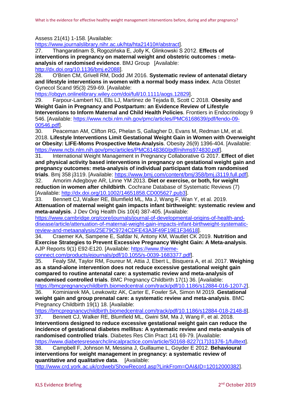Assess 21(41) 1-158. [Available:

[https://www.journalslibrary.nihr.ac.uk/hta/hta21410#/abstract\]](https://www.journalslibrary.nihr.ac.uk/hta/hta21410#/abstract).

<span id="page-13-3"></span>27. Thangaratinam S, Rogozińska E, Jolly K, Glinkowski S 2012. **Effects of interventions in pregnancy on maternal weight and obstetric outcomes : metaanalysis of randomised evidence**. BMJ Group [Available: [http://dx.doi.org/10.1136/bmj.e2088\]](http://dx.doi.org/10.1136/bmj.e2088).

28. O'Brien CM, Grivell RM, Dodd JM 2016. **Systematic review of antenatal dietary and lifestyle interventions in women with a normal body mass index**. Acta Obstet Gynecol Scand 95(3) 259-69. [Available:

[https://obgyn.onlinelibrary.wiley.com/doi/full/10.1111/aogs.12829\]](https://obgyn.onlinelibrary.wiley.com/doi/full/10.1111/aogs.12829).

<span id="page-13-0"></span>29. Farpour-Lambert NJ, Ells LJ, Martinez de Tejada B, Scott C 2018. **Obesity and Weight Gain in Pregnancy and Postpartum: an Evidence Review of Lifestyle Interventions to Inform Maternal and Child Health Policies**. Frontiers in Endocrinology 9 546. [Available: [https://www.ncbi.nlm.nih.gov/pmc/articles/PMC6168639/pdf/fendo-09-](https://www.ncbi.nlm.nih.gov/pmc/articles/PMC6168639/pdf/fendo-09-00546.pdf) [00546.pdf\]](https://www.ncbi.nlm.nih.gov/pmc/articles/PMC6168639/pdf/fendo-09-00546.pdf).

<span id="page-13-5"></span>30. Peaceman AM, Clifton RG, Phelan S, Gallagher D, Evans M, Redman LM, et al. 2018. **Lifestyle Interventions Limit Gestational Weight Gain in Women with Overweight or Obesity: LIFE-Moms Prospective Meta-Analysis**. Obesity 26(9) 1396-404. [Available: [https://www.ncbi.nlm.nih.gov/pmc/articles/PMC6148360/pdf/nihms974830.pdf\]](https://www.ncbi.nlm.nih.gov/pmc/articles/PMC6148360/pdf/nihms974830.pdf).

<span id="page-13-1"></span>31. International Weight Management in Pregnancy Collaborative G 2017. **Effect of diet and physical activity based interventions in pregnancy on gestational weight gain and pregnancy outcomes: meta-analysis of individual participant data from randomised trials**. Bmj 358 j3119. [Available: [https://www.bmj.com/content/bmj/358/bmj.j3119.full.pdf\]](https://www.bmj.com/content/bmj/358/bmj.j3119.full.pdf).

<span id="page-13-2"></span>32. Amorim Adegboye AR, Linne YM 2013. **Diet or exercise, or both, for weight reduction in women after childbirth**. Cochrane Database of Systematic Reviews (7) [Available: [http://dx.doi.org/10.1002/14651858.CD005627.pub3\]](http://dx.doi.org/10.1002/14651858.CD005627.pub3).

<span id="page-13-4"></span>33. Bennett CJ, Walker RE, Blumfield ML, Ma J, Wang F, Wan Y, et al. 2019. **Attenuation of maternal weight gain impacts infant birthweight: systematic review and meta-analysis**. J Dev Orig Health Dis 10(4) 387-405. [Available:

[https://www.cambridge.org/core/journals/journal-of-developmental-origins-of-health-and](https://www.cambridge.org/core/journals/journal-of-developmental-origins-of-health-and-disease/article/attenuation-of-maternal-weight-gain-impacts-infant-birthweight-systematic-review-and-metaanalysis/25E79C9724CDFE43A3F49F19E1F34618)[disease/article/attenuation-of-maternal-weight-gain-impacts-infant-birthweight-systematic](https://www.cambridge.org/core/journals/journal-of-developmental-origins-of-health-and-disease/article/attenuation-of-maternal-weight-gain-impacts-infant-birthweight-systematic-review-and-metaanalysis/25E79C9724CDFE43A3F49F19E1F34618)[review-and-metaanalysis/25E79C9724CDFE43A3F49F19E1F34618\]](https://www.cambridge.org/core/journals/journal-of-developmental-origins-of-health-and-disease/article/attenuation-of-maternal-weight-gain-impacts-infant-birthweight-systematic-review-and-metaanalysis/25E79C9724CDFE43A3F49F19E1F34618).

<span id="page-13-6"></span>34. Craemer KA, Sampene E, Safdar N, Antony KM, Wautlet CK 2019. **Nutrition and Exercise Strategies to Prevent Excessive Pregnancy Weight Gain: A Meta-analysis**. AJP Reports 9(1) E92-E120. [Available: [https://www.thieme-](https://www.thieme-connect.com/products/ejournals/pdf/10.1055/s-0039-1683377.pdf)

[connect.com/products/ejournals/pdf/10.1055/s-0039-1683377.pdf\]](https://www.thieme-connect.com/products/ejournals/pdf/10.1055/s-0039-1683377.pdf).

<span id="page-13-7"></span>35. Fealy SM, Taylor RM, Foureur M, Attia J, Ebert L, Bisquera A, et al. 2017. **Weighing as a stand-alone intervention does not reduce excessive gestational weight gain compared to routine antenatal care: a systematic review and meta-analysis of randomised controlled trials**. BMC Pregnancy Childbirth 17(1) 36. [Available:

[https://bmcpregnancychildbirth.biomedcentral.com/track/pdf/10.1186/s12884-016-1207-2\]](https://bmcpregnancychildbirth.biomedcentral.com/track/pdf/10.1186/s12884-016-1207-2).

<span id="page-13-8"></span>36. Kominiarek MA, Lewkowitz AK, Carter E, Fowler SA, Simon M 2019. **Gestational weight gain and group prenatal care: a systematic review and meta-analysis**. BMC Pregnancy Childbirth 19(1) 18. [Available:

[https://bmcpregnancychildbirth.biomedcentral.com/track/pdf/10.1186/s12884-018-2148-8\]](https://bmcpregnancychildbirth.biomedcentral.com/track/pdf/10.1186/s12884-018-2148-8). 37. Bennett CJ, Walker RE, Blumfield ML, Gwini SM, Ma J, Wang F, et al. 2018.

<span id="page-13-9"></span>**Interventions designed to reduce excessive gestational weight gain can reduce the incidence of gestational diabetes mellitus: A systematic review and meta-analysis of randomised controlled trials**. Diabetes Res Clin Pract 141 69-79. [Available:

[https://www.diabetesresearchclinicalpractice.com/article/S0168-8227\(17\)31376-1/fulltext\]](https://www.diabetesresearchclinicalpractice.com/article/S0168-8227(17)31376-1/fulltext). 38. Campbell F, Johnson M, Messina J, Guillaume L, Goyder E 2012. **Behavioural** 

<span id="page-13-10"></span>**interventions for weight management in pregnancy: a systematic review of quantitative and qualitative data**. [Available:

[http://www.crd.york.ac.uk/crdweb/ShowRecord.asp?LinkFrom=OAI&ID=12012000382\]](http://www.crd.york.ac.uk/crdweb/ShowRecord.asp?LinkFrom=OAI&ID=12012000382).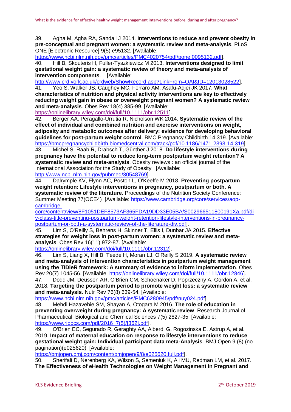<span id="page-14-0"></span>39. Agha M, Agha RA, Sandall J 2014. **Interventions to reduce and prevent obesity in pre-conceptual and pregnant women: a systematic review and meta-analysis**. PLoS ONE [Electronic Resource] 9(5) e95132. [Available:

[https://www.ncbi.nlm.nih.gov/pmc/articles/PMC4020754/pdf/pone.0095132.pdf\]](https://www.ncbi.nlm.nih.gov/pmc/articles/PMC4020754/pdf/pone.0095132.pdf).

<span id="page-14-1"></span>40. Hill B, Skouteris H, Fuller-Tyszkiewicz M 2013. **Interventions designed to limit gestational weight gain: a systematic review of theory and meta-analysis of intervention components.** [Available:

[http://www.crd.york.ac.uk/crdweb/ShowRecord.asp?LinkFrom=OAI&ID=12013028522\]](http://www.crd.york.ac.uk/crdweb/ShowRecord.asp?LinkFrom=OAI&ID=12013028522).

<span id="page-14-2"></span>41. Yeo S, Walker JS, Caughey MC, Ferraro AM, Asafu-Adjei JK 2017. **What characteristics of nutrition and physical activity interventions are key to effectively reducing weight gain in obese or overweight pregnant women? A systematic review and meta-analysis**. Obes Rev 18(4) 385-99. [Available:

[https://onlinelibrary.wiley.com/doi/full/10.1111/obr.12511\]](https://onlinelibrary.wiley.com/doi/full/10.1111/obr.12511).

<span id="page-14-3"></span>42. Berger AA, Peragallo-Urrutia R, Nicholson WK 2014. **Systematic review of the effect of individual and combined nutrition and exercise interventions on weight, adiposity and metabolic outcomes after delivery: evidence for developing behavioral guidelines for post-partum weight control**. BMC Pregnancy Childbirth 14 319. [Available: [https://bmcpregnancychildbirth.biomedcentral.com/track/pdf/10.1186/1471-2393-14-319\]](https://bmcpregnancychildbirth.biomedcentral.com/track/pdf/10.1186/1471-2393-14-319).

<span id="page-14-4"></span>43. Michel S, Raab R, Drabsch T, Günther J 2018. **Do lifestyle interventions during pregnancy have the potential to reduce long-term postpartum weight retention? A systematic review and meta-analysis**. Obesity reviews : an official journal of the International Association for the Study of Obesity [Available:

[http://www.ncbi.nlm.nih.gov/pubmed/30548769\]](http://www.ncbi.nlm.nih.gov/pubmed/30548769).

<span id="page-14-5"></span>44. Dalrymple KV, Flynn AC, Poston L, O'Keeffe M 2018. **Preventing postpartum weight retention: Lifestyle interventions in pregnancy, postpartum or both. A systematic review of the literature**. Proceedings of the Nutrition Society Conference: Summer Meeting 77(OCE4) [Available: [https://www.cambridge.org/core/services/aop](https://www.cambridge.org/core/services/aop-cambridge-core/content/view/8F1051DEF8573AF365FDA19DD33E05BA/S002966511800191Xa.pdf/div-class-title-preventing-postpartum-weight-retention-lifestyle-interventions-in-pregnancy-postpartum-or-both-a-systematic-review-of-the-literature-div.pdf)[cambridge-](https://www.cambridge.org/core/services/aop-cambridge-core/content/view/8F1051DEF8573AF365FDA19DD33E05BA/S002966511800191Xa.pdf/div-class-title-preventing-postpartum-weight-retention-lifestyle-interventions-in-pregnancy-postpartum-or-both-a-systematic-review-of-the-literature-div.pdf)

[core/content/view/8F1051DEF8573AF365FDA19DD33E05BA/S002966511800191Xa.pdf/di](https://www.cambridge.org/core/services/aop-cambridge-core/content/view/8F1051DEF8573AF365FDA19DD33E05BA/S002966511800191Xa.pdf/div-class-title-preventing-postpartum-weight-retention-lifestyle-interventions-in-pregnancy-postpartum-or-both-a-systematic-review-of-the-literature-div.pdf) [v-class-title-preventing-postpartum-weight-retention-lifestyle-interventions-in-pregnancy](https://www.cambridge.org/core/services/aop-cambridge-core/content/view/8F1051DEF8573AF365FDA19DD33E05BA/S002966511800191Xa.pdf/div-class-title-preventing-postpartum-weight-retention-lifestyle-interventions-in-pregnancy-postpartum-or-both-a-systematic-review-of-the-literature-div.pdf)[postpartum-or-both-a-systematic-review-of-the-literature-div.pdf\]](https://www.cambridge.org/core/services/aop-cambridge-core/content/view/8F1051DEF8573AF365FDA19DD33E05BA/S002966511800191Xa.pdf/div-class-title-preventing-postpartum-weight-retention-lifestyle-interventions-in-pregnancy-postpartum-or-both-a-systematic-review-of-the-literature-div.pdf).

<span id="page-14-6"></span>45. Lim S, O'Reilly S, Behrens H, Skinner T, Ellis I, Dunbar JA 2015. **Effective strategies for weight loss in post-partum women: a systematic review and metaanalysis**. Obes Rev 16(11) 972-87. [Available:

[https://onlinelibrary.wiley.com/doi/full/10.1111/obr.12312\]](https://onlinelibrary.wiley.com/doi/full/10.1111/obr.12312).

<span id="page-14-7"></span>46. Lim S, Liang X, Hill B, Teede H, Moran LJ, O'Reilly S 2019. **A systematic review and meta-analysis of intervention characteristics in postpartum weight management using the TIDieR framework: A summary of evidence to inform implementation**. Obes Rev 20(7) 1045-56. [Available: [https://onlinelibrary.wiley.com/doi/full/10.1111/obr.12846\]](https://onlinelibrary.wiley.com/doi/full/10.1111/obr.12846).

<span id="page-14-8"></span>47. Dodd JM, Deussen AR, O'Brien CM, Schoenaker D, Poprzeczny A, Gordon A, et al. 2018. **Targeting the postpartum period to promote weight loss: a systematic review and meta-analysis**. Nutr Rev 76(8) 639-54. [Available:

[https://www.ncbi.nlm.nih.gov/pmc/articles/PMC6280945/pdf/nuy024.pdf\]](https://www.ncbi.nlm.nih.gov/pmc/articles/PMC6280945/pdf/nuy024.pdf).

<span id="page-14-9"></span>48. Mehdi Hazavehie SM, Shayan A, Otogara M 2016. **The role of education in preventing overweight during pregnancy: A systematic review**. Research Journal of Pharmaceutical, Biological and Chemical Sciences 7(5) 2827-35. [Available: [https://www.rjpbcs.com/pdf/2016\\_7\(5\)/\[362\].pdf\]](https://www.rjpbcs.com/pdf/2016_7(5)/%5b362%5d.pdf).

<span id="page-14-10"></span>49. O'Brien EC, Segurado R, Geraghty AA, Alberdi G, Rogozinska E, Astrup A, et al. 2019. **Impact of maternal education on response to lifestyle interventions to reduce gestational weight gain: Individual participant data meta-Analysis**. BMJ Open 9 (8) (no pagination)(e025620) [Available:

[https://bmjopen.bmj.com/content/bmjopen/9/8/e025620.full.pdf\]](https://bmjopen.bmj.com/content/bmjopen/9/8/e025620.full.pdf).

<span id="page-14-11"></span>50. Sherifali D, Nerenberg KA, Wilson S, Semeniuk K, Ali MU, Redman LM, et al. 2017. **The Effectiveness of eHealth Technologies on Weight Management in Pregnant and**